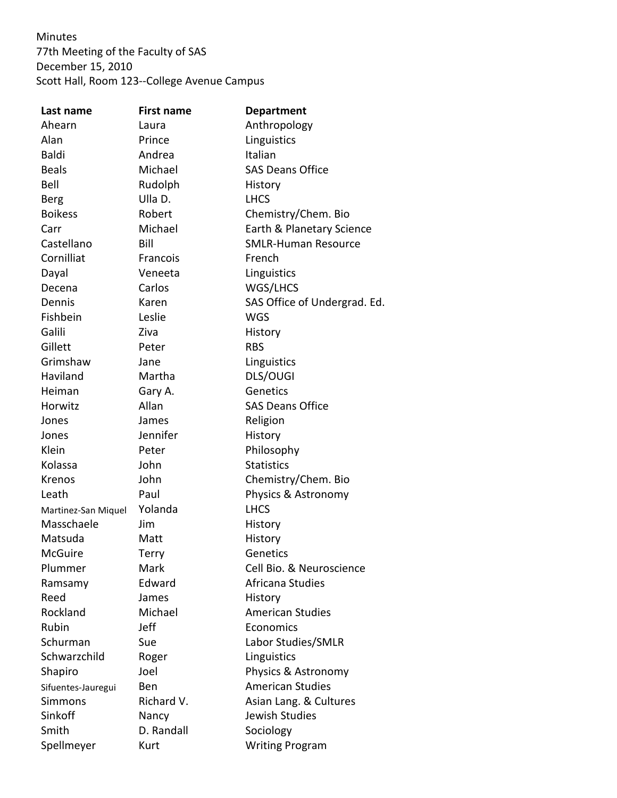Minutes 77th Meeting of the Faculty of SAS December 15, 2010 Scott Hall, Room 123--College Avenue Campus

| Last name           | <b>First name</b> | <b>Department</b>            |
|---------------------|-------------------|------------------------------|
| Ahearn              | Laura             | Anthropology                 |
| Alan                | Prince            | Linguistics                  |
| <b>Baldi</b>        | Andrea            | Italian                      |
| <b>Beals</b>        | Michael           | <b>SAS Deans Office</b>      |
| Bell                | Rudolph           | History                      |
| <b>Berg</b>         | Ulla D.           | <b>LHCS</b>                  |
| <b>Boikess</b>      | Robert            | Chemistry/Chem. Bio          |
| Carr                | Michael           | Earth & Planetary Science    |
| Castellano          | Bill              | <b>SMLR-Human Resource</b>   |
| Cornilliat          | Francois          | French                       |
| Dayal               | Veneeta           | Linguistics                  |
| Decena              | Carlos            | WGS/LHCS                     |
| Dennis              | Karen             | SAS Office of Undergrad. Ed. |
| Fishbein            | Leslie            | <b>WGS</b>                   |
| Galili              | Ziva              | History                      |
| Gillett             | Peter             | <b>RBS</b>                   |
| Grimshaw            | Jane              | Linguistics                  |
| Haviland            | Martha            | DLS/OUGI                     |
| Heiman              | Gary A.           | Genetics                     |
| Horwitz             | Allan             | <b>SAS Deans Office</b>      |
| Jones               | James             | Religion                     |
| Jones               | Jennifer          | History                      |
| Klein               | Peter             | Philosophy                   |
| Kolassa             | John              | <b>Statistics</b>            |
| Krenos              | John              | Chemistry/Chem. Bio          |
| Leath               | Paul              | Physics & Astronomy          |
| Martinez-San Miquel | Yolanda           | <b>LHCS</b>                  |
| Masschaele          | Jim               | History                      |
| Matsuda             | Matt              | History                      |
| <b>McGuire</b>      | Terry             | Genetics                     |
| Plummer             | Mark              | Cell Bio. & Neuroscience     |
| Ramsamy             | Edward            | Africana Studies             |
| Reed                | James             | History                      |
| Rockland            | Michael           | <b>American Studies</b>      |
| Rubin               | Jeff              | Economics                    |
| Schurman            | Sue               | Labor Studies/SMLR           |
| Schwarzchild        | Roger             | Linguistics                  |
| Shapiro             | Joel              | Physics & Astronomy          |
| Sifuentes-Jauregui  | Ben               | <b>American Studies</b>      |
| <b>Simmons</b>      | Richard V.        | Asian Lang. & Cultures       |
| Sinkoff             | Nancy             | Jewish Studies               |
| Smith               | D. Randall        | Sociology                    |
| Spellmeyer          | Kurt              | <b>Writing Program</b>       |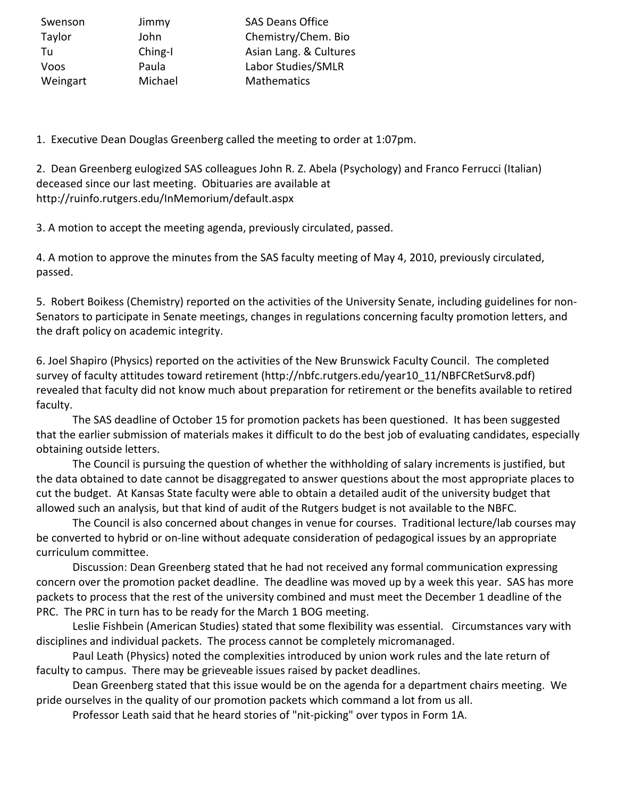| Swenson  | Jimmy   | <b>SAS Deans Office</b> |
|----------|---------|-------------------------|
| Taylor   | John    | Chemistry/Chem. Bio     |
| Tu       | Ching-I | Asian Lang. & Cultures  |
| Voos     | Paula   | Labor Studies/SMLR      |
| Weingart | Michael | Mathematics             |

1. Executive Dean Douglas Greenberg called the meeting to order at 1:07pm.

2. Dean Greenberg eulogized SAS colleagues John R. Z. Abela (Psychology) and Franco Ferrucci (Italian) deceased since our last meeting. Obituaries are available at http://ruinfo.rutgers.edu/InMemorium/default.aspx

3. A motion to accept the meeting agenda, previously circulated, passed.

4. A motion to approve the minutes from the SAS faculty meeting of May 4, 2010, previously circulated, passed.

5. Robert Boikess (Chemistry) reported on the activities of the University Senate, including guidelines for non-Senators to participate in Senate meetings, changes in regulations concerning faculty promotion letters, and the draft policy on academic integrity.

6. Joel Shapiro (Physics) reported on the activities of the New Brunswick Faculty Council. The completed survey of faculty attitudes toward retirement (http://nbfc.rutgers.edu/year10\_11/NBFCRetSurv8.pdf) revealed that faculty did not know much about preparation for retirement or the benefits available to retired faculty.

The SAS deadline of October 15 for promotion packets has been questioned. It has been suggested that the earlier submission of materials makes it difficult to do the best job of evaluating candidates, especially obtaining outside letters.

The Council is pursuing the question of whether the withholding of salary increments is justified, but the data obtained to date cannot be disaggregated to answer questions about the most appropriate places to cut the budget. At Kansas State faculty were able to obtain a detailed audit of the university budget that allowed such an analysis, but that kind of audit of the Rutgers budget is not available to the NBFC.

The Council is also concerned about changes in venue for courses. Traditional lecture/lab courses may be converted to hybrid or on-line without adequate consideration of pedagogical issues by an appropriate curriculum committee.

Discussion: Dean Greenberg stated that he had not received any formal communication expressing concern over the promotion packet deadline. The deadline was moved up by a week this year. SAS has more packets to process that the rest of the university combined and must meet the December 1 deadline of the PRC. The PRC in turn has to be ready for the March 1 BOG meeting.

Leslie Fishbein (American Studies) stated that some flexibility was essential. Circumstances vary with disciplines and individual packets. The process cannot be completely micromanaged.

Paul Leath (Physics) noted the complexities introduced by union work rules and the late return of faculty to campus. There may be grieveable issues raised by packet deadlines.

Dean Greenberg stated that this issue would be on the agenda for a department chairs meeting. We pride ourselves in the quality of our promotion packets which command a lot from us all.

Professor Leath said that he heard stories of "nit-picking" over typos in Form 1A.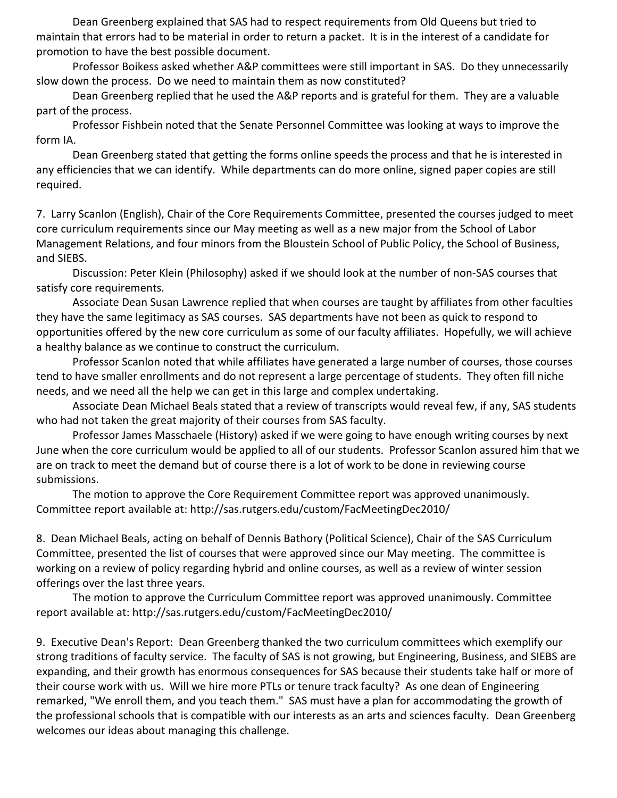Dean Greenberg explained that SAS had to respect requirements from Old Queens but tried to maintain that errors had to be material in order to return a packet. It is in the interest of a candidate for promotion to have the best possible document.

Professor Boikess asked whether A&P committees were still important in SAS. Do they unnecessarily slow down the process. Do we need to maintain them as now constituted?

Dean Greenberg replied that he used the A&P reports and is grateful for them. They are a valuable part of the process.

Professor Fishbein noted that the Senate Personnel Committee was looking at ways to improve the form IA.

Dean Greenberg stated that getting the forms online speeds the process and that he is interested in any efficiencies that we can identify. While departments can do more online, signed paper copies are still required.

7. Larry Scanlon (English), Chair of the Core Requirements Committee, presented the courses judged to meet core curriculum requirements since our May meeting as well as a new major from the School of Labor Management Relations, and four minors from the Bloustein School of Public Policy, the School of Business, and SIEBS.

Discussion: Peter Klein (Philosophy) asked if we should look at the number of non-SAS courses that satisfy core requirements.

Associate Dean Susan Lawrence replied that when courses are taught by affiliates from other faculties they have the same legitimacy as SAS courses. SAS departments have not been as quick to respond to opportunities offered by the new core curriculum as some of our faculty affiliates. Hopefully, we will achieve a healthy balance as we continue to construct the curriculum.

Professor Scanlon noted that while affiliates have generated a large number of courses, those courses tend to have smaller enrollments and do not represent a large percentage of students. They often fill niche needs, and we need all the help we can get in this large and complex undertaking.

Associate Dean Michael Beals stated that a review of transcripts would reveal few, if any, SAS students who had not taken the great majority of their courses from SAS faculty.

Professor James Masschaele (History) asked if we were going to have enough writing courses by next June when the core curriculum would be applied to all of our students. Professor Scanlon assured him that we are on track to meet the demand but of course there is a lot of work to be done in reviewing course submissions.

The motion to approve the Core Requirement Committee report was approved unanimously. Committee report available at: http://sas.rutgers.edu/custom/FacMeetingDec2010/

8. Dean Michael Beals, acting on behalf of Dennis Bathory (Political Science), Chair of the SAS Curriculum Committee, presented the list of courses that were approved since our May meeting. The committee is working on a review of policy regarding hybrid and online courses, as well as a review of winter session offerings over the last three years.

The motion to approve the Curriculum Committee report was approved unanimously. Committee report available at: http://sas.rutgers.edu/custom/FacMeetingDec2010/

9. Executive Dean's Report: Dean Greenberg thanked the two curriculum committees which exemplify our strong traditions of faculty service. The faculty of SAS is not growing, but Engineering, Business, and SIEBS are expanding, and their growth has enormous consequences for SAS because their students take half or more of their course work with us. Will we hire more PTLs or tenure track faculty? As one dean of Engineering remarked, "We enroll them, and you teach them." SAS must have a plan for accommodating the growth of the professional schools that is compatible with our interests as an arts and sciences faculty. Dean Greenberg welcomes our ideas about managing this challenge.